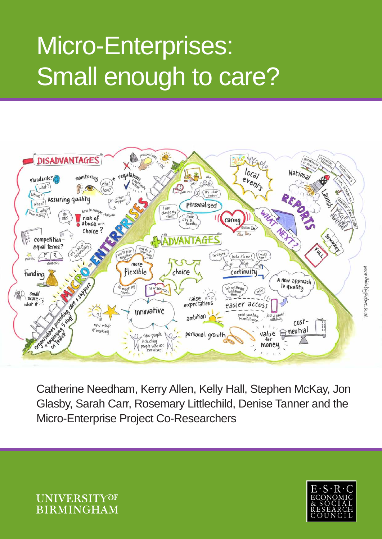# Micro-Enterprises: Small enough to care?



Catherine Needham, Kerry Allen, Kelly Hall, Stephen McKay, Jon Glasby, Sarah Carr, Rosemary Littlechild, Denise Tanner and the Micro-Enterprise Project Co-Researchers



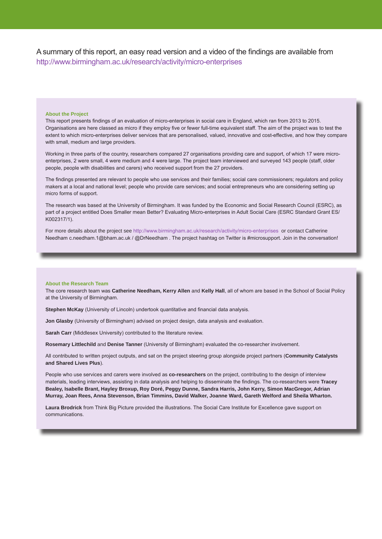A summary of this report, an easy read version and a video of the findings are available from http://www.birmingham.ac.uk/research/activity/micro-enterprises

#### **About the Project**

This report presents findings of an evaluation of micro-enterprises in social care in England, which ran from 2013 to 2015. Organisations are here classed as micro if they employ five or fewer full-time equivalent staff. The aim of the project was to test the extent to which micro-enterprises deliver services that are personalised, valued, innovative and cost-effective, and how they compare with small, medium and large providers.

Working in three parts of the country, researchers compared 27 organisations providing care and support, of which 17 were microenterprises, 2 were small, 4 were medium and 4 were large. The project team interviewed and surveyed 143 people (staff, older people, people with disabilities and carers) who received support from the 27 providers.

The findings presented are relevant to people who use services and their families; social care commissioners; regulators and policy makers at a local and national level; people who provide care services; and social entrepreneurs who are considering setting up micro forms of support.

The research was based at the University of Birmingham. It was funded by the Economic and Social Research Council (ESRC), as part of a project entitled Does Smaller mean Better? Evaluating Micro-enterprises in Adult Social Care (ESRC Standard Grant ES/ K002317/1).

For more details about the project see http://www.birmingham.ac.uk/research/activity/micro-enterprises or contact Catherine Needham c.needham.1@bham.ac.uk / @DrNeedham . The project hashtag on Twitter is #microsupport. Join in the conversation!

#### **About the Research Team**

The core research team was **Catherine Needham, Kerry Allen** and **Kelly Hall**, all of whom are based in the School of Social Policy at the University of Birmingham.

**Stephen McKay** (University of Lincoln) undertook quantitative and financial data analysis.

**Jon Glasby** (University of Birmingham) advised on project design, data analysis and evaluation.

**Sarah Carr** (Middlesex University) contributed to the literature review.

**Rosemary Littlechild** and **Denise Tanner** (University of Birmingham) evaluated the co-researcher involvement.

All contributed to written project outputs, and sat on the project steering group alongside project partners (**Community Catalysts and Shared Lives Plus**).

People who use services and carers were involved as **co-researchers** on the project, contributing to the design of interview materials, leading interviews, assisting in data analysis and helping to disseminate the findings. The co-researchers were **Tracey Bealey, Isabelle Brant, Hayley Broxup, Roy Doré, Peggy Dunne, Sandra Harris, John Kerry, Simon MacGregor, Adrian Murray, Joan Rees, Anna Stevenson, Brian Timmins, David Walker, Joanne Ward, Gareth Welford and Sheila Wharton.**

**Laura Brodrick** from Think Big Picture provided the illustrations. The Social Care Institute for Excellence gave support on communications.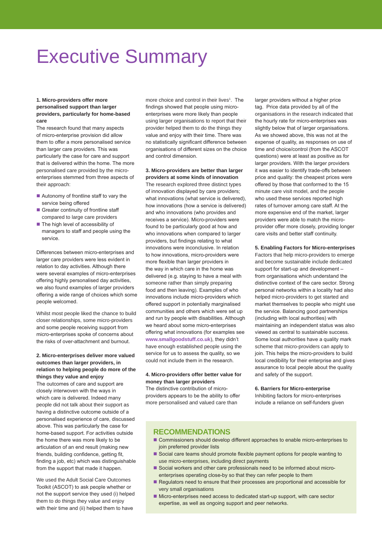### Executive Summary

#### **1. Micro-providers offer more personalised support than larger providers, particularly for home-based care**

The research found that many aspects of micro-enterprise provision did allow them to offer a more personalised service than larger care providers. This was particularly the case for care and support that is delivered within the home. The more personalised care provided by the microenterprises stemmed from three aspects of their approach:

- Autonomy of frontline staff to vary the service being offered
- Greater continuity of frontline staff compared to large care providers
- $\blacksquare$  The high level of accessibility of managers to staff and people using the service.

Differences between micro-enterprises and larger care providers were less evident in relation to day activities. Although there were several examples of micro-enterprises offering highly personalised day activities, we also found examples of larger providers offering a wide range of choices which some people welcomed.

Whilst most people liked the chance to build closer relationships, some micro-providers and some people receiving support from micro-enterprises spoke of concerns about the risks of over-attachment and burnout.

#### **2. Micro-enterprises deliver more valued outcomes than larger providers, in relation to helping people do more of the things they value and enjoy**

The outcomes of care and support are closely interwoven with the ways in which care is delivered. Indeed many people did not talk about their support as having a distinctive outcome outside of a personalised experience of care, discussed above. This was particularly the case for home-based support. For activities outside the home there was more likely to be articulation of an end result (making new friends, building confidence, getting fit, finding a job, etc) which was distinguishable from the support that made it happen.

We used the Adult Social Care Outcomes Toolkit (ASCOT) to ask people whether or not the support service they used (i) helped them to do things they value and enjoy with their time and (ii) helped them to have

more choice and control in their lives<sup>1</sup>. The findings showed that people using microenterprises were more likely than people using larger organisations to report that their provider helped them to do the things they value and enjoy with their time. There was no statistically significant difference between organisations of different sizes on the choice and control dimension.

#### **3. Micro-providers are better than larger providers at some kinds of innovation**

The research explored three distinct types of innovation displayed by care providers; what innovations (what service is delivered), how innovations (how a service is delivered) and who innovations (who provides and receives a service). Micro-providers were found to be particularly good at how and who innovations when compared to larger providers, but findings relating to what innovations were inconclusive. In relation to how innovations, micro-providers were more flexible than larger providers in the way in which care in the home was delivered (e.g. staying to have a meal with someone rather than simply preparing food and then leaving). Examples of who innovations include micro-providers which offered support in potentially marginalised communities and others which were set up and run by people with disabilities. Although we heard about some micro-enterprises offering what innovations (for examples see **www.smallgoodstuff.co.uk**), they didn't have enough established people using the service for us to assess the quality, so we could not include them in the research.

#### **4. Micro-providers offer better value for money than larger providers**

The distinctive contribution of microproviders appears to be the ability to offer more personalised and valued care than

larger providers without a higher price tag. Price data provided by all of the organisations in the research indicated that the hourly rate for micro-enterprises was slightly below that of larger organisations. As we showed above, this was not at the expense of quality, as responses on use of time and choice/control (from the ASCOT questions) were at least as positive as for larger providers. With the larger providers it was easier to identify trade-offs between price and quality: the cheapest prices were offered by those that conformed to the 15 minute care visit model, and the people who used these services reported high rates of turnover among care staff. At the more expensive end of the market, larger providers were able to match the microprovider offer more closely, providing longer care visits and better staff continuity.

#### **5. Enabling Factors for Micro-enterprises**

Factors that help micro-providers to emerge and become sustainable include dedicated support for start-up and development – from organisations which understand the distinctive context of the care sector. Strong personal networks within a locality had also helped micro-providers to get started and market themselves to people who might use the service. Balancing good partnerships (including with local authorities) with maintaining an independent status was also viewed as central to sustainable success. Some local authorities have a quality mark scheme that micro-providers can apply to join. This helps the micro-providers to build local credibility for their enterprise and gives assurance to local people about the quality and safety of the support.

#### **6. Barriers for Micro-enterprise**

Inhibiting factors for micro-enterprises include a reliance on self-funders given

#### **RECOMMENDATIONS**

- Commissioners should develop different approaches to enable micro-enterprises to join preferred provider lists
- Social care teams should promote flexible payment options for people wanting to use micro-enterprises, including direct payments
- Social workers and other care professionals need to be informed about microenterprises operating close-by so that they can refer people to them
- Regulators need to ensure that their processes are proportional and accessible for very small organisations
- Micro-enterprises need access to dedicated start-up support, with care sector expertise, as well as ongoing support and peer networks.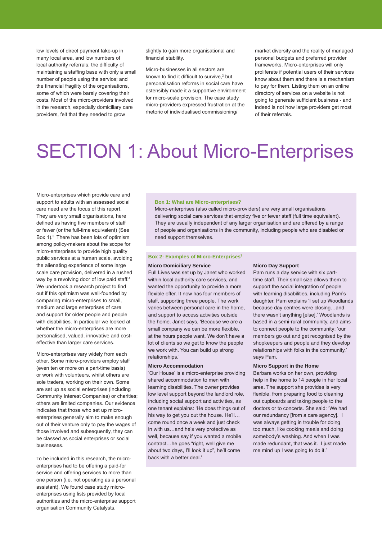low levels of direct payment take-up in many local area, and low numbers of local authority referrals; the difficulty of maintaining a staffing base with only a small number of people using the service; and the financial fragility of the organisations, some of which were barely covering their costs. Most of the micro-providers involved in the research, especially domiciliary care providers, felt that they needed to grow

slightly to gain more organisational and financial stability.

Micro-businesses in all sectors are known to find it difficult to survive,<sup>2</sup> but personalisation reforms in social care have ostensibly made it a supportive environment for micro-scale provision. The case study micro-providers expressed frustration at the rhetoric of individualised commissioning/

market diversity and the reality of managed personal budgets and preferred provider frameworks. Micro-enterprises will only proliferate if potential users of their services know about them and there is a mechanism to pay for them. Listing them on an online directory of services on a website is not going to generate sufficient business - and indeed is not how large providers get most of their referrals.

## SECTION 1: About Micro-Enterprises

Micro-enterprises which provide care and support to adults with an assessed social care need are the focus of this report. They are very small organisations, here defined as having five members of staff or fewer (or the full-time equivalent) (See Box 1).3 There has been lots of optimism among policy-makers about the scope for micro-enterprises to provide high quality public services at a human scale, avoiding the alienating experience of some large scale care provision, delivered in a rushed way by a revolving door of low paid staff.<sup>4</sup> We undertook a research project to find out if this optimism was well-founded by comparing micro-enterprises to small, medium and large enterprises of care and support for older people and people with disabilities. In particular we looked at whether the micro-enterprises are more personalised, valued, innovative and costeffective than larger care services.

Micro-enterprises vary widely from each other. Some micro-providers employ staff (even ten or more on a part-time basis) or work with volunteers, whilst others are sole traders, working on their own. Some are set up as social enterprises (including Community Interest Companies) or charities; others are limited companies. Our evidence indicates that those who set up microenterprises generally aim to make enough out of their venture only to pay the wages of those involved and subsequently, they can be classed as social enterprises or social businesses.

To be included in this research, the microenterprises had to be offering a paid-for service and offering services to more than one person (i.e. not operating as a personal assistant). We found case study microenterprises using lists provided by local authorities and the micro-enterprise support organisation Community Catalysts.

#### **Box 1: What are Micro-enterprises?**

Micro-enterprises (also called micro-providers) are very small organisations delivering social care services that employ five or fewer staff (full time equivalent). They are usually independent of any larger organisation and are offered by a range of people and organisations in the community, including people who are disabled or need support themselves.

#### **Box 2: Examples of Micro-Enterprises7**

#### **Micro Domiciliary Service**

Full Lives was set up by Janet who worked within local authority care services, and wanted the opportunity to provide a more flexible offer. It now has four members of staff, supporting three people. The work varies between personal care in the home, and support to access activities outside the home. Janet says, 'Because we are a small company we can be more flexible, at the hours people want. We don't have a lot of clients so we get to know the people we work with. You can build up strong relationships.'

#### **Micro Accommodation**

'Our House' is a micro-enterprise providing shared accommodation to men with learning disabilities. The owner provides low level support beyond the landlord role, including social support and activities, as one tenant explains: 'He does things out of his way to get you out the house. He'll… come round once a week and just check in with us…and he's very protective as well, because say if you wanted a mobile contract…he goes "right, well give me about two days, I'll look it up", he'll come back with a better deal.'

#### **Micro Day Support**

Pam runs a day service with six parttime staff. Their small size allows them to support the social integration of people with learning disabilities, including Pam's daughter. Pam explains 'I set up Woodlands because day centres were closing…and there wasn't anything [else].' Woodlands is based in a semi-rural community, and aims to connect people to the community: 'our members go out and get recognised by the shopkeepers and people and they develop relationships with folks in the community,' says Pam.

#### **Micro Support in the Home**

Barbara works on her own, providing help in the home to 14 people in her local area. The support she provides is very flexible, from preparing food to cleaning out cupboards and taking people to the doctors or to concerts. She said: 'We had our redundancy [from a care agency]. I was always getting in trouble for doing too much, like cooking meals and doing somebody's washing. And when I was made redundant, that was it. I just made me mind up I was going to do it.'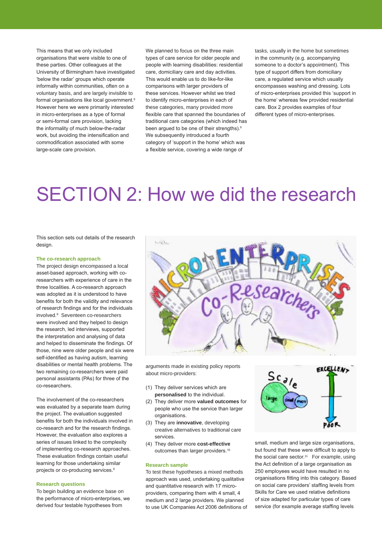This means that we only included organisations that were visible to one of these parties. Other colleagues at the University of Birmingham have investigated 'below the radar' groups which operate informally within communities, often on a voluntary basis, and are largely invisible to formal organisations like local government.<sup>5</sup> However here we were primarily interested in micro-enterprises as a type of formal or semi-formal care provision, lacking the informality of much below-the-radar work, but avoiding the intensification and commodification associated with some large-scale care provision.

We planned to focus on the three main types of care service for older people and people with learning disabilities: residential care, domiciliary care and day activities. This would enable us to do like-for-like comparisons with larger providers of these services. However whilst we tried to identify micro-enterprises in each of these categories, many provided more flexible care that spanned the boundaries of traditional care categories (which indeed has been argued to be one of their strengths).<sup>6</sup> We subsequently introduced a fourth category of 'support in the home' which was a flexible service, covering a wide range of

tasks, usually in the home but sometimes in the community (e.g. accompanying someone to a doctor's appointment). This type of support differs from domiciliary care, a regulated service which usually encompasses washing and dressing. Lots of micro-enterprises provided this 'support in the home' whereas few provided residential care. Box 2 provides examples of four different types of micro-enterprises.

### SECTION 2: How we did the research

This section sets out details of the research design

#### **The co-research approach**

The project design encompassed a local asset-based approach, working with coresearchers with experience of care in the three localities. A co-research approach was adopted as it is understood to have benefits for both the validity and relevance of research findings and for the individuals involved.<sup>8</sup> Seventeen co-researchers were involved and they helped to design the research, led interviews, supported the interpretation and analysing of data and helped to disseminate the findings. Of those, nine were older people and six were self-identified as having autism, learning disabilities or mental health problems. The two remaining co-researchers were paid personal assistants (PAs) for three of the co-researchers.

The involvement of the co-researchers was evaluated by a separate team during the project. The evaluation suggested benefits for both the individuals involved in co-research and for the research findings. However, the evaluation also explores a series of issues linked to the complexity of implementing co-research approaches. These evaluation findings contain useful learning for those undertaking similar projects or co-producing services.<sup>9</sup>

#### **Research questions**

To begin building an evidence base on the performance of micro-enterprises, we derived four testable hypotheses from



arguments made in existing policy reports about micro-providers:

- (1) They deliver services which are **personalised** to the individual.
- (2) They deliver more **valued outcomes** for people who use the service than larger organisations.
- (3) They are **innovative**, developing creative alternatives to traditional care services.
- (4) They deliver more **cost-effective** outcomes than larger providers.10

#### **Research sample**

To test these hypotheses a mixed methods approach was used, undertaking qualitative and quantitative research with 17 microproviders, comparing them with 4 small, 4 medium and 2 large providers. We planned to use UK Companies Act 2006 definitions of



small, medium and large size organisations, but found that these were difficult to apply to the social care sector.<sup>11</sup> For example, using the Act definition of a large organisation as 250 employees would have resulted in no organisations fitting into this category. Based on social care providers' staffing levels from Skills for Care we used relative definitions of size adapted for particular types of care service (for example average staffing levels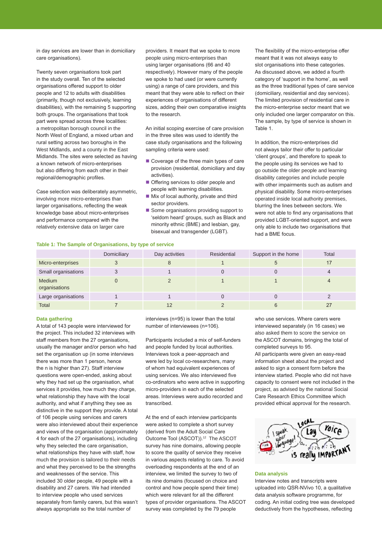in day services are lower than in domiciliary care organisations).

Twenty seven organisations took part in the study overall. Ten of the selected organisations offered support to older people and 12 to adults with disabilities (primarily, though not exclusively, learning disabilities), with the remaining 5 supporting both groups. The organisations that took part were spread across three localities: a metropolitan borough council in the North West of England, a mixed urban and rural setting across two boroughs in the West Midlands, and a county in the East Midlands. The sites were selected as having a known network of micro-enterprises but also differing from each other in their regional/demographic profiles.

Case selection was deliberately asymmetric, involving more micro-enterprises than larger organisations, reflecting the weak knowledge base about micro-enterprises and performance compared with the relatively extensive data on larger care

providers. It meant that we spoke to more people using micro-enterprises than using larger organisations (66 and 40 respectively). However many of the people we spoke to had used (or were currently using) a range of care providers, and this meant that they were able to reflect on their experiences of organisations of different sizes, adding their own comparative insights to the research.

An initial scoping exercise of care provision in the three sites was used to identify the case study organisations and the following sampling criteria were used:

- Coverage of the three main types of care provision (residential, domiciliary and day activities).
- Offering services to older people and people with learning disabilities.
- $\blacksquare$  Mix of local authority, private and third sector providers.
- Some organisations providing support to 'seldom heard' groups, such as Black and minority ethnic (BME) and lesbian, gay, bisexual and transgender (LGBT).

The flexibility of the micro-enterprise offer meant that it was not always easy to slot organisations into these categories. As discussed above, we added a fourth category of 'support in the home', as well as the three traditional types of care service (domiciliary, residential and day services). The limited provision of residential care in the micro-enterprise sector meant that we only included one larger comparator on this. The sample, by type of service is shown in Table 1.

In addition, the micro-enterprises did not always tailor their offer to particular 'client groups', and therefore to speak to the people using its services we had to go outside the older people and learning disability categories and include people with other impairments such as autism and physical disability. Some micro-enterprises operated inside local authority premises, blurring the lines between sectors. We were not able to find any organisations that provided LGBT-oriented support, and were only able to include two organisations that had a BME focus.

#### **Table 1: The Sample of Organisations, by type of service**

|                         | Domiciliary | Day activities | Residential | Support in the home | Total |
|-------------------------|-------------|----------------|-------------|---------------------|-------|
| Micro-enterprises       |             |                |             |                     |       |
| Small organisations     |             |                |             |                     |       |
| Medium<br>organisations |             |                |             |                     |       |
| Large organisations     |             |                |             |                     |       |
| <b>Total</b>            |             |                |             |                     |       |

#### **Data gathering**

A total of 143 people were interviewed for the project. This included 32 interviews with staff members from the 27 organisations, usually the manager and/or person who had set the organisation up (in some interviews there was more than 1 person, hence the n is higher than 27). Staff interview questions were open-ended, asking about why they had set up the organisation, what services it provides, how much they charge, what relationship they have with the local authority, and what if anything they see as distinctive in the support they provide. A total of 106 people using services and carers were also interviewed about their experience and views of the organisation (approximately 4 for each of the 27 organisations), including why they selected the care organisation. what relationships they have with staff, how much the provision is tailored to their needs and what they perceived to be the strengths and weaknesses of the service. This included 30 older people, 49 people with a disability and 27 carers. We had intended to interview people who used services separately from family carers, but this wasn't always appropriate so the total number of

interviews (n=95) is lower than the total number of interviewees (n=106).

Participants included a mix of self-funders and people funded by local authorities. Interviews took a peer-approach and were led by local co-researchers, many of whom had equivalent experiences of using services. We also interviewed five co-ordinators who were active in supporting micro-providers in each of the selected areas. Interviews were audio recorded and transcribed.

At the end of each interview participants were asked to complete a short survey (derived from the Adult Social Care Outcome Tool (ASCOT)).<sup>12</sup> The ASCOT survey has nine domains, allowing people to score the quality of service they receive in various aspects relating to care. To avoid overloading respondents at the end of an interview, we limited the survey to two of its nine domains (focused on choice and control and how people spend their time) which were relevant for all the different types of provider organisations. The ASCOT survey was completed by the 79 people

who use services. Where carers were interviewed separately (in 16 cases) we also asked them to score the service on the ASCOT domains, bringing the total of completed surveys to 95.

All participants were given an easy-read information sheet about the project and asked to sign a consent form before the interview started. People who did not have capacity to consent were not included in the project, as advised by the national Social Care Research Ethics Committee which provided ethical approval for the research.



#### **Data analysis**

Interview notes and transcripts were uploaded into QSR-NVivo 10, a qualitative data analysis software programme, for coding. An initial coding tree was developed deductively from the hypotheses, reflecting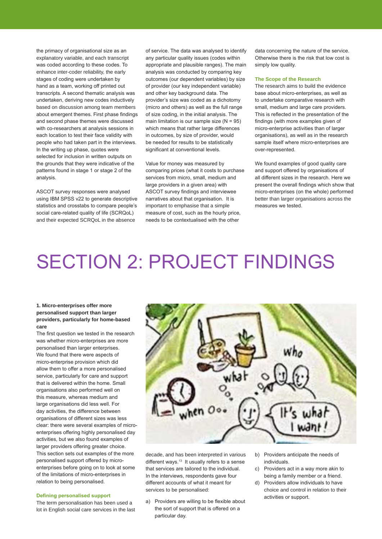the primacy of organisational size as an explanatory variable, and each transcript was coded according to these codes. To enhance inter-coder reliability, the early stages of coding were undertaken by hand as a team, working off printed out transcripts. A second thematic analysis was undertaken, deriving new codes inductively based on discussion among team members about emergent themes. First phase findings and second phase themes were discussed with co-researchers at analysis sessions in each location to test their face validity with people who had taken part in the interviews. In the writing up phase, quotes were selected for inclusion in written outputs on the grounds that they were indicative of the patterns found in stage 1 or stage 2 of the analysis.

ASCOT survey responses were analysed using IBM SPSS v22 to generate descriptive statistics and crosstabs to compare people's social care-related quality of life (SCRQoL) and their expected SCRQoL in the absence

of service. The data was analysed to identify any particular quality issues (codes within appropriate and plausible ranges). The main analysis was conducted by comparing key outcomes (our dependent variables) by size of provider (our key independent variable) and other key background data. The provider's size was coded as a dichotomy (micro and others) as well as the full range of size coding, in the initial analysis. The main limitation is our sample size  $(N = 95)$ which means that rather large differences in outcomes, by size of provider, would be needed for results to be statistically significant at conventional levels.

Value for money was measured by comparing prices (what it costs to purchase services from micro, small, medium and large providers in a given area) with ASCOT survey findings and interviewee narratives about that organisation. It is important to emphasise that a simple measure of cost, such as the hourly price, needs to be contextualised with the other

data concerning the nature of the service. Otherwise there is the risk that low cost is simply low quality.

#### **The Scope of the Research**

The research aims to build the evidence base about micro-enterprises, as well as to undertake comparative research with small, medium and large care providers. This is reflected in the presentation of the findings (with more examples given of micro-enterprise activities than of larger organisations), as well as in the research sample itself where micro-enterprises are over-represented.

We found examples of good quality care and support offered by organisations of all different sizes in the research. Here we present the overall findings which show that micro-enterprises (on the whole) performed better than larger organisations across the measures we tested.

# SECTION 2: PROJECT FINDINGS

#### **1. Micro-enterprises offer more personalised support than larger providers, particularly for home-based care**

The first question we tested in the research was whether micro-enterprises are more personalised than larger enterprises. We found that there were aspects of micro-enterprise provision which did allow them to offer a more personalised service, particularly for care and support that is delivered within the home. Small organisations also performed well on this measure, whereas medium and large organisations did less well. For day activities, the difference between organisations of different sizes was less clear: there were several examples of microenterprises offering highly personalised day activities, but we also found examples of larger providers offering greater choice. This section sets out examples of the more personalised support offered by microenterprises before going on to look at some of the limitations of micro-enterprises in relation to being personalised.

#### **Defining personalised support**

The term personalisation has been used a lot in English social care services in the last



decade, and has been interpreted in various different ways. $13$  It usually refers to a sense that services are tailored to the individual. In the interviews, respondents gave four different accounts of what it meant for services to be personalised:

- a) Providers are willing to be flexible about the sort of support that is offered on a particular day.
- b) Providers anticipate the needs of individuals.
- c) Providers act in a way more akin to being a family member or a friend.
- d) Providers allow individuals to have choice and control in relation to their activities or support.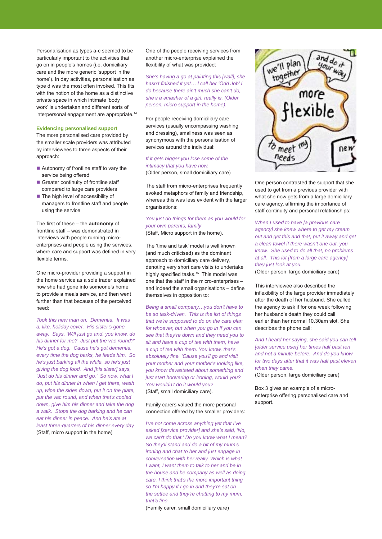Personalisation as types a-c seemed to be particularly important to the activities that go on in people's homes (i.e. domiciliary care and the more generic 'support in the home'). In day activities, personalisation as type d was the most often invoked. This fits with the notion of the home as a distinctive private space in which intimate 'body work' is undertaken and different sorts of interpersonal engagement are appropriate.14

#### **Evidencing personalised support**

The more personalised care provided by the smaller scale providers was attributed by interviewees to three aspects of their approach:

- Autonomy of frontline staff to vary the service being offered
- Greater continuity of frontline staff compared to large care providers
- $\blacksquare$  The high level of accessibility of managers to frontline staff and people using the service

The first of these – the **autonomy** of frontline staff – was demonstrated in interviews with people running microenterprises and people using the services, where care and support was defined in very flexible terms.

One micro-provider providing a support in the home service as a sole trader explained how she had gone into someone's home to provide a meals service, and then went further than that because of the perceived need:

*Took this new man on. Dementia. It was a, like, holiday cover. His sister's gone away. Says, 'Will just go and, you know, do his dinner for me? Just put the vac round?' He's got a dog. Cause he's got dementia, every time the dog barks, he feeds him. So he's just barking all the while, so he's just giving the dog food. And [his sister] says, 'Just do his dinner and go.' So now, what I do, put his dinner in when I get there, wash up, wipe the sides down, put it on the plate, put the vac round, and when that's cooled down, give him his dinner and take the dog a walk. Stops the dog barking and he can eat his dinner in peace. And he's ate at least three-quarters of his dinner every day.*  (Staff, micro support in the home)

One of the people receiving services from another micro-enterprise explained the flexibility of what was provided:

*She's having a go at painting this [wall], she hasn't finished it yet… I call her 'Odd Job' I do because there ain't much she can't do, she's a smasher of a girl, really is. (Older person, micro support in the home).*

For people receiving domiciliary care services (usually encompassing washing and dressing), smallness was seen as synonymous with the personalisation of services around the individual:

#### *If it gets bigger you lose some of the intimacy that you have now.*

(Older person, small domiciliary care)

The staff from micro-enterprises frequently evoked metaphors of family and friendship, whereas this was less evident with the larger organisations:

#### *You just do things for them as you would for your own parents, family*  (Staff, Micro support in the home).

The 'time and task' model is well known (and much criticised) as the dominant approach to domiciliary care delivery, denoting very short care visits to undertake highly specified tasks.<sup>15</sup> This model was one that the staff in the micro-enterprises – and indeed the small organisations – define themselves in opposition to:

*Being a small company…you don't have to be so task-driven. This is the list of things that we're supposed to do on the care plan for whoever, but when you go in if you can see that they're down and they need you to sit and have a cup of tea with them, have a cup of tea with them. You know, that's absolutely fine. 'Cause you'll go and visit your mother and your mother's looking like, you know devastated about something and just start hoovering or ironing, would you? You wouldn't do it would you?*  (Staff, small domiciliary care).

#### Family carers valued the more personal connection offered by the smaller providers:

*I've not come across anything yet that I've asked [service provider] and she's said, 'No, we can't do that.' Do you know what I mean? So they'll stand and do a bit of my mum's ironing and chat to her and just engage in conversation with her really. Which is what I want, I want them to talk to her and be in the house and be company as well as doing care. I think that's the more important thing so I'm happy if I go in and they're sat on the settee and they're chatting to my mum, that's fine.* 

(Family carer, small domiciliary care)



One person contrasted the support that she used to get from a previous provider with what she now gets from a large domiciliary care agency, affirming the importance of staff continuity and personal relationships:

*When I used to have [a previous care agency] she knew where to get my cream out and get this and that, put it away and get a clean towel if there wasn't one out, you know. She used to do all that, no problems at all. This lot [from a large care agency] they just look at you.* 

(Older person, large domiciliary care)

This interviewee also described the inflexibility of the large provider immediately after the death of her husband. She called the agency to ask if for one week following her husband's death they could call earlier than her normal 10.30am slot. She describes the phone call:

*And I heard her saying, she said you can tell [older service user] her times half past ten and not a minute before. And do you know for two days after that it was half past eleven when they came.* 

(Older person, large domiciliary care)

Box 3 gives an example of a microenterprise offering personalised care and support.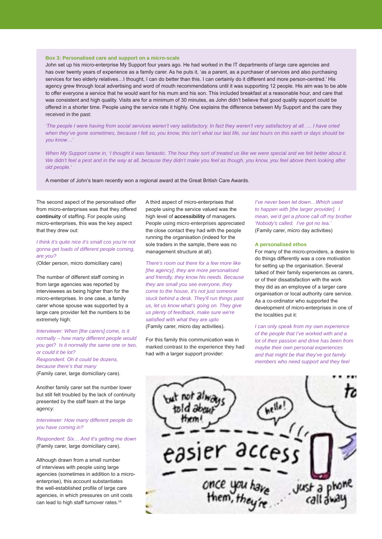#### **Box 3: Personalised care and support on a micro-scale**

John set up his micro-enterprise My Support four years ago. He had worked in the IT departments of large care agencies and has over twenty years of experience as a family carer. As he puts it, 'as a parent, as a purchaser of services and also purchasing services for two elderly relatives…I thought, I can do better than this. I can certainly do it different and more person-centred.' His agency grew through local advertising and word of mouth recommendations until it was supporting 12 people. His aim was to be able to offer everyone a service that he would want for his mum and his son. This included breakfast at a reasonable hour, and care that was consistent and high quality. Visits are for a minimum of 30 minutes, as John didn't believe that good quality support could be offered in a shorter time. People using the service rate it highly. One explains the difference between My Support and the care they received in the past:

*'The people I were having from social services weren't very satisfactory. In fact they weren't very satisfactory at all. … I have cried when they've gone sometimes, because I felt so, you know, this isn't what our last life, our last hours on this earth or days should be you know…'* 

When My Support came in, 'I thought it was fantastic. The hour they sort of treated us like we were special and we felt better about it. *We didn't feel a pest and in the way at all, because they didn't make you feel as though, you know, you feel above them looking after old people.'*

A member of John's team recently won a regional award at the Great British Care Awards.

The second aspect of the personalised offer from micro-enterprises was that they offered **continuity** of staffing. For people using micro-enterprises, this was the key aspect that they drew out:

#### *I think it's quite nice it's small cos you're not gonna get loads of different people coming, are you?*

(Older person, micro domiciliary care)

The number of different staff coming in from large agencies was reported by interviewees as being higher than for the micro-enterprises. In one case, a family carer whose spouse was supported by a large care provider felt the numbers to be extremely high:

*Interviewer: When [the carers] come, is it normally – how many different people would you get? Is it normally the same one or two, or could it be lot? Respondent: Oh it could be dozens, because there's that many*  (Family carer, large domiciliary care).

Another family carer set the number lower but still felt troubled by the lack of continuity presented by the staff team at the large agency:

*Interviewer: How many different people do you have coming in?*

*Respondent: Six… And it's getting me down* (Family carer, large domiciliary care).

Although drawn from a small number of interviews with people using large agencies (sometimes in addition to a microenterprise), this account substantiates the well-established profile of large care agencies, in which pressures on unit costs can lead to high staff turnover rates.<sup>16</sup>

A third aspect of micro-enterprises that people using the service valued was the high level of **accessibility** of managers. People using micro-enterprises appreciated the close contact they had with the people running the organisation (indeed for the sole traders in the sample, there was no management structure at all).

*There's room out there for a few more like [the agency], they are more personalised and friendly, they know his needs. Because they are small you see everyone, they come to the house, it's not just someone stuck behind a desk. They'll run things past us, let us know what's going on. They give us plenty of feedback, make sure we're satisfied with what they are upto*  (Family carer, micro day activities).

For this family this communication was in marked contrast to the experience they had had with a larger support provider:

*I've never been let down…Which used to happen with [the larger provider]. I mean, we'd get a phone call off my brother 'Nobody's called. I've got no tea.'*  (Family carer, micro day activities)

#### **A personalised ethos**

For many of the micro-providers, a desire to do things differently was a core motivation for setting up the organisation. Several talked of their family experiences as carers, or of their dissatisfaction with the work they did as an employee of a larger care organisation or local authority care service. As a co-ordinator who supported the development of micro-enterprises in one of the localities put it:

*I can only speak from my own experience of the people that I've worked with and a lot of their passion and drive has been from maybe their own personal experiences and that might be that they've got family members who need support and they feel* 

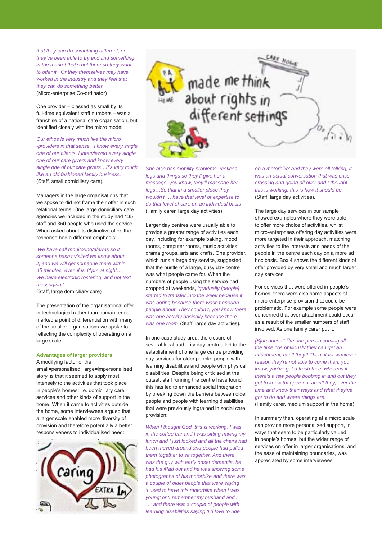*that they can do something different, or they've been able to try and find something in the market that's not there so they want to offer it. Or they themselves may have worked in the industry and they feel that they can do something better.*  (Micro-enterprise Co-ordinator)

One provider – classed as small by its full-time equivalent staff numbers – was a franchise of a national care organisation, but identified closely with the micro model:

*Our ethos is very much like the micro -providers in that sense. I know every single one of our clients, I interviewed every single one of our care givers and know every single one of our care givers…It's very much like an old fashioned family business.*  (Staff, small domiciliary care).

Managers in the large organisations that we spoke to did not frame their offer in such relational terms. One large domiciliary care agencies we included in the study had 135 staff and 350 people who used the service. When asked about its distinctive offer, the response had a different emphasis:

*'We have call monitoring/alarms so if someone hasn't visited we know about it, and we will get someone there within 45 minutes, even if is 11pm at night… We have electronic rostering, and not text messaging.'*

(Staff, large domiciliary care)

The presentation of the organisational offer in technological rather than human terms marked a point of differentiation with many of the smaller organisations we spoke to, reflecting the complexity of operating on a large scale.

#### **Advantages of larger providers**

A modifying factor of the small=personalised, large=impersonalised story, is that it seemed to apply most intensely to the activities that took place in people's homes: i.e. domiciliary care services and other kinds of support in the home. When it came to activities outside the home, some interviewees argued that a larger scale enabled more diversity of provision and therefore potentially a better responsiveness to individualised need:





*She also has mobility problems, restless legs and things so they'll give her a massage, you know, they'll massage her legs…So that in a smaller place they wouldn't … have that level of expertise to do that level of care on an individual basis*  (Family carer, large day activities).

Larger day centres were usually able to provide a greater range of activities each day, including for example baking, mood rooms, computer rooms, music activities, drama groups, arts and crafts. One provider, which runs a large day service, suggested that the bustle of a large, busy day centre was what people came for. When the numbers of people using the service had dropped at weekends, *'gradually [people] started to transfer into the week because it was boring because there wasn't enough people about. They couldn't, you know there was one activity basically because there was one room'* (Staff, large day activities).

In one case study area, the closure of several local authority day centres led to the establishment of one large centre providing day services for older people, people with learning disabilities and people with physical disabilities. Despite being criticised at the outset, staff running the centre have found this has led to enhanced social integration, by breaking down the barriers between older people and people with learning disabilities that were previously ingrained in social care provision:

*When I thought God, this is working, I was in the coffee bar and I was sitting having my lunch and I just looked and all the chairs had been moved around and people had pulled them together to sit together. And there was the guy with early onset dementia, he had his iPad out and he was showing some photographs of his motorbike and there was a couple of older people that were saying 'I used to have this motorbike when I was young' or 'I remember my husband and I …' and there was a couple of people with learning disabilities saying 'I'd love to ride* 

*on a motorbike' and they were all talking, it was an actual conversation that was crisscrossing and going all over and I thought this is working, this is how it should be.*  (Staff, large day activities).

The large day services in our sample showed examples where they were able to offer more choice of activities, whilst micro-enterprises offering day activities were more targeted in their approach, matching activities to the interests and needs of the people in the centre each day on a more ad hoc basis. Box 4 shows the different kinds of offer provided by very small and much larger day services.

For services that were offered in people's homes, there were also some aspects of micro-enterprise provision that could be problematic. For example some people were concerned that over-attachment could occur as a result of the smaller numbers of staff involved. As one family carer put it,

*[S]he doesn't like one person coming all the time cos obviously they can get an attachment, can't they? Then, if for whatever reason they're not able to come then, you know, you've got a fresh face, whereas if there's a few people bobbing in and out they get to know that person, aren't they, over the time and know their ways and what they've got to do and where things are.*  (Family carer, medium support in the home).

In summary then, operating at a micro scale can provide more personalised support, in ways that seem to be particularly valued in people's homes, but the wider range of services on offer in larger organisations, and the ease of maintaining boundaries, was appreciated by some interviewees.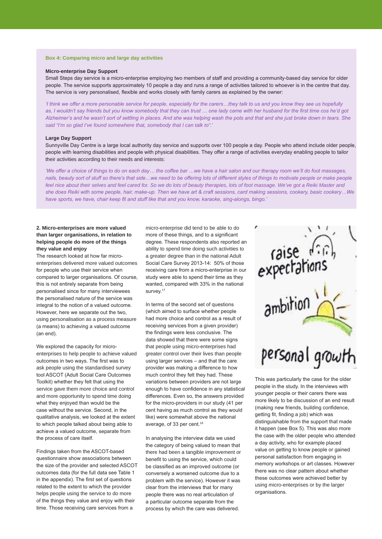#### **Box 4: Comparing micro and large day activities**

#### **Micro-enterprise Day Support**

Small Steps day service is a micro-enterprise employing two members of staff and providing a community-based day service for older people. The service supports approximately 10 people a day and runs a range of activities tailored to whoever is in the centre that day. The service is very personalised, flexible and works closely with family carers as explained by the owner:

*'I think we offer a more personable service for people, especially for the carers…they talk to us and you know they see us hopefully*  as, I wouldn't say friends but you know somebody that they can trust ... one lady came with her husband for the first time cos he'd got *Alzheimer's and he wasn't sort of settling in places. And she was helping wash the pots and that and she just broke down in tears. She said "I'm so glad I've found somewhere that, somebody that I can talk to".'*

#### **Large Day Support**

Sunnyville Day Centre is a large local authority day service and supports over 100 people a day. People who attend include older people. people with learning disabilities and people with physical disabilities. They offer a range of activities everyday enabling people to tailor their activities according to their needs and interests:

*'We offer a choice of things to do on each day… the coffee bar …we have a hair salon and our therapy room we'll do foot massages,*  nails, beauty sort of stuff so there's that side...we need to be offering lots of different styles of things to motivate people or make people feel nice about their selves and feel cared for. So we do lots of beauty therapies, lots of foot massage. We've got a Reiki Master and *she does Reiki with some people, hair, make-up. Then we have art & craft sessions, card making sessions, cookery, basic cookery…We have sports, we have, chair keep fit and stuff like that and you know, karaoke, sing-alongs, bingo.'*

#### **2. Micro-enterprises are more valued than larger organisations, in relation to helping people do more of the things they value and enjoy**

The research looked at how far microenterprises delivered more valued outcomes for people who use their service when compared to larger organisations. Of course, this is not entirely separate from being personalised since for many interviewees the personalised nature of the service was integral to the notion of a valued outcome. However, here we separate out the two, using personalisation as a process measure (a means) to achieving a valued outcome (an end).

We explored the capacity for microenterprises to help people to achieve valued outcomes in two ways. The first was to ask people using the standardised survey tool ASCOT (Adult Social Care Outcomes Toolkit) whether they felt that using the service gave them more choice and control and more opportunity to spend time doing what they enjoyed than would be the case without the service. Second, in the qualitative analysis, we looked at the extent to which people talked about being able to achieve a valued outcome, separate from the process of care itself.

Findings taken from the ASCOT-based questionnaire show associations between the size of the provider and selected ASCOT outcomes data (for the full data see Table 1 in the appendix). The first set of questions related to the extent to which the provider helps people using the service to do more of the things they value and enjoy with their time. Those receiving care services from a

micro-enterprise did tend to be able to do more of these things, and to a significant degree. These respondents also reported an ability to spend time doing such activities to a greater degree than in the national Adult Social Care Survey 2013-14: 50% of those receiving care from a micro-enterprise in our study were able to spend their time as they wanted, compared with 33% in the national survey.<sup>17</sup>

In terms of the second set of questions (which aimed to surface whether people had more choice and control as a result of receiving services from a given provider) the findings were less conclusive. The data showed that there were some signs that people using micro-enterprises had greater control over their lives than people using larger services – and that the care provider was making a difference to how much control they felt they had. These variations between providers are not large enough to have confidence in any statistical differences. Even so, the answers provided for the micro-providers in our study (41 per cent having as much control as they would like) were somewhat above the national average, of 33 per cent.<sup>18</sup>

In analysing the interview data we used the category of being valued to mean that there had been a tangible improvement or benefit to using the service, which could be classified as an improved outcome (or conversely a worsened outcome due to a problem with the service). However it was clear from the interviews that for many people there was no real articulation of a particular outcome separate from the process by which the care was delivered.



This was particularly the case for the older people in the study. In the interviews with younger people or their carers there was more likely to be discussion of an end result (making new friends, building confidence, getting fit, finding a job) which was distinguishable from the support that made it happen (see Box 5). This was also more the case with the older people who attended a day activity, who for example placed value on getting to know people or gained personal satisfaction from engaging in memory workshops or art classes. However there was no clear pattern about whether these outcomes were achieved better by using micro-enterprises or by the larger organisations.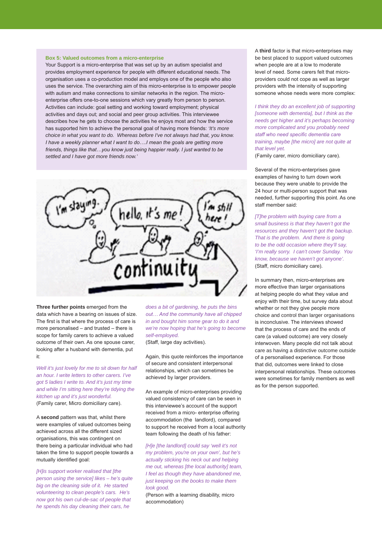#### **Box 5: Valued outcomes from a micro-enterprise**

Your Support is a micro-enterprise that was set up by an autism specialist and provides employment experience for people with different educational needs. The organisation uses a co-production model and employs one of the people who also uses the service. The overarching aim of this micro-enterprise is to empower people with autism and make connections to similar networks in the region. The microenterprise offers one-to-one sessions which vary greatly from person to person. Activities can include: goal setting and working toward employment; physical activities and days out; and social and peer group activities. This interviewee describes how he gets to choose the activities he enjoys most and how the service has supported him to achieve the personal goal of having more friends: *'It's more choice in what you want to do. Whereas before I've not always had that, you know. I have a weekly planner what I want to do….I mean the goals are getting more friends, things like that…you know just being happier really. I just wanted to be settled and I have got more friends now.'*

hello, it's m

**Three further points** emerged from the data which have a bearing on issues of size. The first is that where the process of care is more personalised – and trusted – there is scope for family carers to achieve a valued outcome of their own. As one spouse carer, looking after a husband with dementia, put it:

*Well it's just lovely for me to sit down for half an hour. I write letters to other carers. I've got 5 ladies I write to. And it's just my time and while I'm sitting here they're tidying the kitchen up and it's just wonderful.*  (Family carer, Micro domiciliary care).

A **second** pattern was that, whilst there were examples of valued outcomes being achieved across all the different sized organisations, this was contingent on there being a particular individual who had taken the time to support people towards a mutually identified goal:

*[H]is support worker realised that [the person using the service] likes – he's quite big on the cleaning side of it. He started volunteering to clean people's cars. He's now got his own cul-de-sac of people that he spends his day cleaning their cars, he* 

*does a bit of gardening, he puts the bins out… And the community have all chipped in and bought him some gear to do it and we're now hoping that he's going to become self-employed.* 

(Staff, large day activities).

Again, this quote reinforces the importance of secure and consistent interpersonal relationships, which can sometimes be achieved by larger providers.

An example of micro-enterprises providing valued consistency of care can be seen in this interviewee's account of the support received from a micro- enterprise offering accommodation (the landlord), compared to support he received from a local authority team following the death of his father:

*[H]e [the landlord] could say 'well it's not my problem, you're on your own', but he's actually sticking his neck out and helping me out, whereas [the local authority] team, I feel as though they have abandoned me, just keeping on the books to make them look good.*  (Person with a learning disability, micro accommodation)

A **third** factor is that micro-enterprises may be best placed to support valued outcomes when people are at a low to moderate level of need. Some carers felt that microproviders could not cope as well as larger providers with the intensity of supporting someone whose needs were more complex:

*I think they do an excellent job of supporting [someone with dementia], but I think as the needs get higher and it's perhaps becoming more complicated and you probably need staff who need specific dementia care training, maybe [the micro] are not quite at that level yet.* 

(Family carer, micro domiciliary care).

Several of the micro-enterprises gave examples of having to turn down work because they were unable to provide the 24 hour or multi-person support that was needed, further supporting this point. As one staff member said:

*[T]he problem with buying care from a small business is that they haven't got the resources and they haven't got the backup. That is the problem. And there is going to be the odd occasion where they'll say, 'I'm really sorry. I can't cover Sunday. You know, because we haven't got anyone'.*  (Staff, micro domiciliary care).

In summary then, micro-enterprises are more effective than larger organisations at helping people do what they value and enjoy with their time, but survey data about whether or not they give people more choice and control than larger organisations is inconclusive. The interviews showed that the process of care and the ends of care (a valued outcome) are very closely interwoven. Many people did not talk about care as having a distinctive outcome outside of a personalised experience. For those that did, outcomes were linked to close interpersonal relationships. These outcomes were sometimes for family members as well as for the person supported.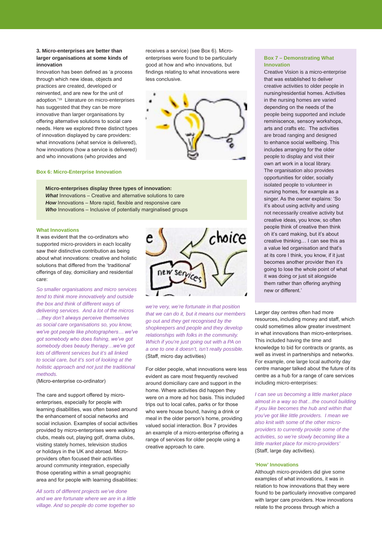#### **3. Micro-enterprises are better than larger organisations at some kinds of innovation**

Innovation has been defined as 'a process through which new ideas, objects and practices are created, developed or reinvented, and are new for the unit of adoption.'19 Literature on micro-enterprises has suggested that they can be more innovative than larger organisations by offering alternative solutions to social care needs. Here we explored three distinct types of innovation displayed by care providers: what innovations (what service is delivered), how innovations (how a service is delivered) and who innovations (who provides and

**Box 6: Micro-Enterprise Innovation**

**Micro-enterprises display three types of innovation:** *What* Innovations – Creative and alternative solutions to care *How* Innovations – More rapid, flexible and responsive care *Who* Innovations – Inclusive of potentially marginalised groups

#### **What Innovations**

It was evident that the co-ordinators who supported micro-providers in each locality saw their distinctive contribution as being about what innovations: creative and holistic solutions that differed from the 'traditional' offerings of day, domiciliary and residential care:

*So smaller organisations and micro services tend to think more innovatively and outside the box and think of different ways of delivering services. And a lot of the micros …they don't always perceive themselves as social care organisations so, you know, we've got people like photographers… we've got somebody who does fishing, we've got somebody does beauty therapy…we've got lots of different services but it's all linked to social care, but it's sort of looking at the holistic approach and not just the traditional methods.* 

(Micro-enterprise co-ordinator)

The care and support offered by microenterprises, especially for people with learning disabilities, was often based around the enhancement of social networks and social inclusion. Examples of social activities provided by micro-enterprises were walking clubs, meals out, playing golf, drama clubs, visiting stately homes, television studios or holidays in the UK and abroad. Microproviders often focused their activities around community integration, especially those operating within a small geographic area and for people with learning disabilities:

*All sorts of different projects we've done and we are fortunate where we are in a little village. And so people do come together so* 



receives a service) (see Box 6). Microenterprises were found to be particularly good at how and who innovations, but findings relating to what innovations were

less conclusive.

*we're very, we're fortunate in that position that we can do it, but it means our members go out and they get recognised by the shopkeepers and people and they develop relationships with folks in the community. Which if you're just going out with a PA on a one to one it doesn't, isn't really possible.*  (Staff, micro day activities)

For older people, what innovations were less evident as care most frequently revolved around domiciliary care and support in the home. Where activities did happen they were on a more ad hoc basis. This included trips out to local cafes, parks or for those who were house bound, having a drink or meal in the older person's home, providing valued social interaction. Box 7 provides an example of a micro-enterprise offering a range of services for older people using a creative approach to care.

#### **Box 7 – Demonstrating What Innovation**

Creative Vision is a micro-enterprise that was established to deliver creative activities to older people in nursing/residential homes. Activities in the nursing homes are varied depending on the needs of the people being supported and include reminiscence, sensory workshops, arts and crafts etc. The activities are broad ranging and designed to enhance social wellbeing. This includes arranging for the older people to display and visit their own art work in a local library. The organisation also provides opportunities for older, socially isolated people to volunteer in nursing homes, for example as a singer. As the owner explains: 'So it's about using activity and using not necessarily creative activity but creative ideas, you know, so often people think of creative then think oh it's card making, but it's about creative thinking… I can see this as a value led organisation and that's at its core I think, you know, if it just becomes another provider then it's going to lose the whole point of what it was doing or just sit alongside them rather than offering anything new or different.'

Larger day centres often had more resources, including money and staff, which could sometimes allow greater investment in what innovations than micro-enterprises. This included having the time and knowledge to bid for contracts or grants, as well as invest in partnerships and networks. For example, one large local authority day centre manager talked about the future of its centre as a hub for a range of care services including micro-enterprises:

*I can see us becoming a little market place almost in a way so that…the council building if you like becomes the hub and within that you've got like little providers. I mean we also knit with some of the other microproviders to currently provide some of the activities, so we're slowly becoming like a little market place for micro-providers'*  (Staff, large day activities).

#### **'How' Innovations**

Although micro-providers did give some examples of what innovations, it was in relation to how innovations that they were found to be particularly innovative compared with larger care providers. How innovations relate to the process through which a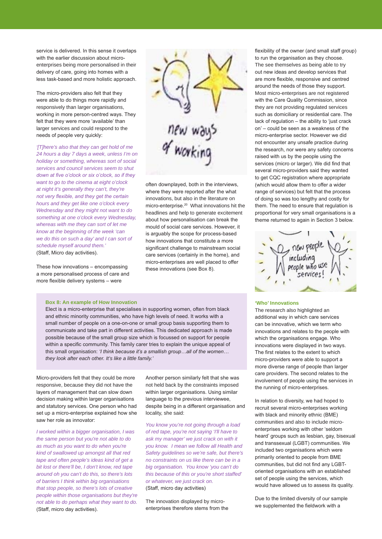service is delivered. In this sense it overlaps with the earlier discussion about microenterprises being more personalised in their delivery of care, going into homes with a less task-based and more holistic approach.

The micro-providers also felt that they were able to do things more rapidly and responsively than larger organisations, working in more person-centred ways. They felt that they were more 'available' than larger services and could respond to the needs of people very quickly:

*'[T]here's also that they can get hold of me 24 hours a day 7 days a week, unless I'm on holiday or something, whereas sort of social services and council services seem to shut down at five o'clock or six o'clock, so if they want to go to the cinema at eight o'clock at night it's generally they can't, they're not very flexible, and they get the certain hours and they get like one o'clock every Wednesday and they might not want to do something at one o'clock every Wednesday, whereas with me they can sort of let me know at the beginning of the week 'can we do this on such a day' and I can sort of schedule myself around them.'*  (Staff, Micro day activities).

These how innovations – encompassing a more personalised process of care and more flexible delivery systems – were



often downplayed, both in the interviews, where they were reported after the what innovations, but also in the literature on micro-enterprise.20 What innovations hit the headlines and help to generate excitement about how personalisation can break the mould of social care services. However, it is arguably the scope for process-based how innovations that constitute a more significant challenge to mainstream social care services (certainly in the home), and micro-enterprises are well placed to offer these innovations (see Box 8).

#### **Box 8: An example of How Innovation**

Elect is a micro-enterprise that specialises in supporting women, often from black and ethnic minority communities, who have high levels of need. It works with a small number of people on a one-on-one or small group basis supporting them to communicate and take part in different activities. This dedicated approach is made possible because of the small group size which is focussed on support for people within a specific community. This family carer tries to explain the unique appeal of this small organisation: *'I think because it's a smallish group…all of the women… they look after each other. It's like a little family.'*

Micro-providers felt that they could be more responsive, because they did not have the layers of management that can slow down decision making within larger organisations and statutory services. One person who had set up a micro-enterprise explained how she saw her role as innovator:

*I worked within a bigger organisation, I was the same person but you're not able to do as much as you want to do when you're kind of swallowed up amongst all that red tape and often people's ideas kind of get a bit lost or there'll be, I don't know, red tape around oh you can't do this, so there's lots of barriers I think within big organisations that stop people, so there's lots of creative people within those organisations but they're not able to do perhaps what they want to do.* (Staff, micro day activities).

Another person similarly felt that she was not held back by the constraints imposed within larger organisations. Using similar language to the previous interviewee, despite being in a different organisation and locality, she said:

*You know you're not going through a load of red tape, you're not saying 'I'll have to ask my manager' we just crack on with it you know. I mean we follow all Health and Safety guidelines so we're safe, but there's no constraints on us like there can be in a big organisation. You know 'you can't do this because of this or you're short staffed' or whatever, we just crack on.*  (Staff, micro day activities)

The innovation displayed by microenterprises therefore stems from the flexibility of the owner (and small staff group) to run the organisation as they choose. The see themselves as being able to try out new ideas and develop services that are more flexible, responsive and centred around the needs of those they support. Most micro-enterprises are not registered with the Care Quality Commission, since they are not providing regulated services such as domiciliary or residential care. The lack of regulation – the ability to 'just crack on' – could be seen as a weakness of the micro-enterprise sector. However we did not encounter any unsafe practice during the research, nor were any safety concerns raised with us by the people using the services (micro or larger). We did find that several micro-providers said they wanted to get CQC registration where appropriate (which would allow them to offer a wider range of services) but felt that the process of doing so was too lengthy and costly for them. The need to ensure that regulation is proportional for very small organisations is a theme returned to again in Section 3 below.



#### **'Who' Innovations**

The research also highlighted an additional way in which care services can be innovative, which we term who innovations and relates to the people with which the organisations engage. Who innovations were displayed in two ways. The first relates to the extent to which micro-providers were able to support a more diverse range of people than larger care providers. The second relates to the involvement of people using the services in the running of micro-enterprises.

In relation to diversity, we had hoped to recruit several micro-enterprises working with black and minority ethnic (BME) communities and also to include microenterprises working with other 'seldom heard' groups such as lesbian, gay, bisexual and transsexual (LGBT) communities. We included two organisations which were primarily oriented to people from BME communities, but did not find any LGBToriented organisations with an established set of people using the services, which would have allowed us to assess its quality.

Due to the limited diversity of our sample we supplemented the fieldwork with a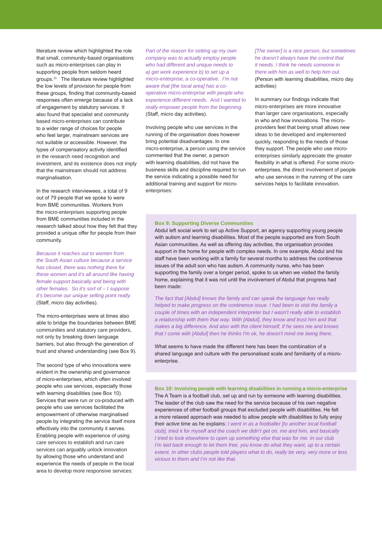literature review which highlighted the role that small, community-based organisations such as micro-enterprises can play in supporting people from seldom heard groups.<sup>21</sup> The literature review highlighted the low levels of provision for people from these groups, finding that community-based responses often emerge because of a lack of engagement by statutory services. It also found that specialist and community based micro-enterprises can contribute to a wider range of choices for people who feel larger, mainstream services are not suitable or accessible. However, the types of compensatory activity identified in the research need recognition and investment, and its existence does not imply that the mainstream should not address marginalisation.

In the research interviewees, a total of 9 out of 79 people that we spoke to were from BME communities. Workers from the micro-enterprises supporting people from BME communities included in the research talked about how they felt that they provided a unique offer for people from their community.

*Because it reaches out to women from the South Asian culture because a service has closed, there was nothing there for these women and it's all around like having female support basically and being with other females. So it's sort of – I suppose it's become our unique selling point really.*  (Staff, micro day activities).

The micro-enterprises were at times also able to bridge the boundaries between BME communities and statutory care providers, not only by breaking down language barriers, but also through the generation of trust and shared understanding (see Box 9).

The second type of who innovations were evident in the ownership and governance of micro-enterprises, which often involved people who use services, especially those with learning disabilities (see Box 10). Services that were run or co-produced with people who use services facilitated the empowerment of otherwise marginalised people by integrating the service itself more effectively into the community it serves. Enabling people with experience of using care services to establish and run care services can arguably unlock innovation by allowing those who understand and experience the needs of people in the local area to develop more responsive services:

*Part of the reason for setting up my own company was to actually employ people who had different and unique needs to a) get work experience b) to set up a micro-enterprise, a co-operative. I'm not aware that [the local area] has a cooperative micro-enterprise with people who experience different needs. And I wanted to really empower people from the beginning.*  (Staff, micro day activities).

Involving people who use services in the running of the organisation does however bring potential disadvantages. In one micro-enterprise, a person using the service commented that the owner, a person with learning disabilities, did not have the business skills and discipline required to run the service indicating a possible need for additional training and support for microenterprises:

*[The owner] is a nice person, but sometimes he doesn't always have the control that it needs. I think he needs someone in there with him as well to help him out.*  (Person with learning disabilities, micro day activities)

In summary our findings indicate that micro-enterprises are more innovative than larger care organisations, especially in who and how innovations. The microproviders feel that being small allows new ideas to be developed and implemented quickly, responding to the needs of those they support. The people who use microenterprises similarly appreciate the greater flexibility in what is offered. For some microenterprises, the direct involvement of people who use services in the running of the care services helps to facilitate innovation.

#### **Box 9: Supporting Diverse Communities**

Abdul left social work to set up Active Support, an agency supporting young people with autism and learning disabilities. Most of the people supported are from South Asian communities. As well as offering day activities, the organisation provides support in the home for people with complex needs. In one example, Abdul and his staff have been working with a family for several months to address the continence issues of the adult son who has autism. A community nurse, who has been supporting the family over a longer period, spoke to us when we visited the family home, explaining that it was not until the involvement of Abdul that progress had been made:

*The fact that [Abdul] knows the family and can speak the language has really helped to make progress on the continence issue. I had been to visit the family a couple of times with an independent interpreter but I wasn't really able to establish a relationship with them that way. With [Abdul], they know and trust him and that makes a big difference. And also with the client himself, if he sees me and knows that I come with [Abdul] then he thinks I'm ok, he doesn't mind me being there.*

What seems to have made the different here has been the combination of a shared language and culture with the personalised scale and familiarity of a microenterprise.

**Box 10: Involving people with learning disabilities in running a micro-enterprise** The A Team is a football club, set up and run by someone with learning disabilities. The leader of the club saw the need for the service because of his own negative experiences of other football groups that excluded people with disabilities. He felt a more relaxed approach was needed to allow people with disabilities to fully enjoy their active time as he explains: *I went in as a footballer [to another local football club], tried it for myself and the coach we didn't get on, me and him, and basically I tried to look elsewhere to open up something else that was for me. In our club I'm laid back enough to let them free, you know do what they want, up to a certain extent. In other clubs people told players what to do, really be very, very more or less vicious to them and I'm not like that.*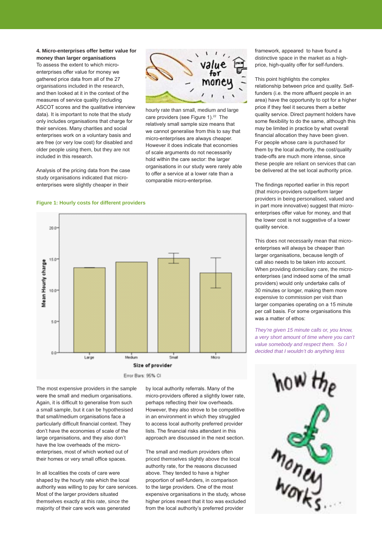#### **4. Micro-enterprises offer better value for money than larger organisations**

To assess the extent to which microenterprises offer value for money we gathered price data from all of the 27 organisations included in the research, and then looked at it in the context of the measures of service quality (including ASCOT scores and the qualitative interview data). It is important to note that the study only includes organisations that charge for their services. Many charities and social enterprises work on a voluntary basis and are free (or very low cost) for disabled and older people using them, but they are not included in this research.

Analysis of the pricing data from the case study organisations indicated that microenterprises were slightly cheaper in their



hourly rate than small, medium and large care providers (see Figure 1).<sup>22</sup> The relatively small sample size means that we cannot generalise from this to say that micro-enterprises are always cheaper. However it does indicate that economies of scale arguments do not necessarily hold within the care sector: the larger organisations in our study were rarely able to offer a service at a lower rate than a comparable micro-enterprise.

#### **Figure 1: Hourly costs for different providers**



The most expensive providers in the sample were the small and medium organisations. Again, it is difficult to generalise from such a small sample, but it can be hypothesised that small/medium organisations face a particularly difficult financial context. They don't have the economies of scale of the large organisations, and they also don't have the low overheads of the microenterprises, most of which worked out of their homes or very small office spaces.

In all localities the costs of care were shaped by the hourly rate which the local authority was willing to pay for care services. Most of the larger providers situated themselves exactly at this rate, since the majority of their care work was generated

by local authority referrals. Many of the micro-providers offered a slightly lower rate, perhaps reflecting their low overheads. However, they also strove to be competitive in an environment in which they struggled to access local authority preferred provider lists. The financial risks attendant in this approach are discussed in the next section.

The small and medium providers often priced themselves slightly above the local authority rate, for the reasons discussed above. They tended to have a higher proportion of self-funders, in comparison to the large providers. One of the most expensive organisations in the study, whose higher prices meant that it too was excluded from the local authority's preferred provider

framework, appeared to have found a distinctive space in the market as a highprice, high-quality offer for self-funders.

This point highlights the complex relationship between price and quality. Selffunders (i.e. the more affluent people in an area) have the opportunity to opt for a higher price if they feel it secures them a better quality service. Direct payment holders have some flexibility to do the same, although this may be limited in practice by what overall financial allocation they have been given. For people whose care is purchased for them by the local authority, the cost/quality trade-offs are much more intense, since these people are reliant on services that can be delivered at the set local authority price.

The findings reported earlier in this report (that micro-providers outperform larger providers in being personalised, valued and in part more innovative) suggest that microenterprises offer value for money, and that the lower cost is not suggestive of a lower quality service.

This does not necessarily mean that microenterprises will always be cheaper than larger organisations, because length of call also needs to be taken into account. When providing domiciliary care, the microenterprises (and indeed some of the small providers) would only undertake calls of 30 minutes or longer, making them more expensive to commission per visit than larger companies operating on a 15 minute per call basis. For some organisations this was a matter of ethos:

*They're given 15 minute calls or, you know, a very short amount of time where you can't value somebody and respect them. So I decided that I wouldn't do anything less* 

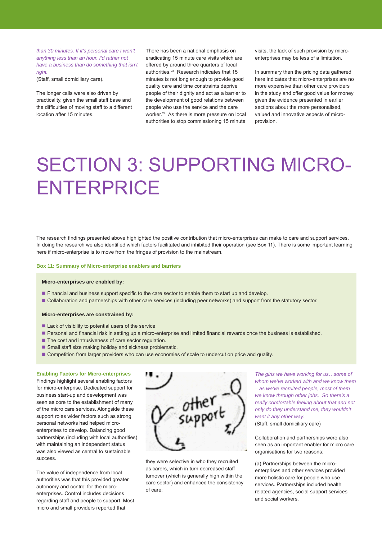*than 30 minutes. If it's personal care I won't anything less than an hour. I'd rather not have a business than do something that isn't right.* 

(Staff, small domiciliary care).

The longer calls were also driven by practicality, given the small staff base and the difficulties of moving staff to a different location after 15 minutes.

There has been a national emphasis on eradicating 15 minute care visits which are offered by around three quarters of local authorities.23 Research indicates that 15 minutes is not long enough to provide good quality care and time constraints deprive people of their dignity and act as a barrier to the development of good relations between people who use the service and the care worker.<sup>24</sup> As there is more pressure on local authorities to stop commissioning 15 minute visits, the lack of such provision by microenterprises may be less of a limitation.

In summary then the pricing data gathered here indicates that micro-enterprises are no more expensive than other care providers in the study and offer good value for money given the evidence presented in earlier sections about the more personalised, valued and innovative aspects of microprovision.

# SECTION 3: SUPPORTING MICRO-**ENTERPRICE**

The research findings presented above highlighted the positive contribution that micro-enterprises can make to care and support services. In doing the research we also identified which factors facilitated and inhibited their operation (see Box 11). There is some important learning here if micro-enterprise is to move from the fringes of provision to the mainstream.

#### **Box 11: Summary of Micro-enterprise enablers and barriers**

#### **Micro-enterprises are enabled by:**

- **Financial and business support specific to the care sector to enable them to start up and develop.**
- Collaboration and partnerships with other care services (including peer networks) and support from the statutory sector.

#### **Micro-enterprises are constrained by:**

- Lack of visibility to potential users of the service
- Personal and financial risk in setting up a micro-enterprise and limited financial rewards once the business is established.
- The cost and intrusiveness of care sector regulation.
- Small staff size making holiday and sickness problematic.
- Competition from larger providers who can use economies of scale to undercut on price and quality.

#### **Enabling Factors for Micro-enterprises**

Findings highlight several enabling factors for micro-enterprise. Dedicated support for business start-up and development was seen as core to the establishment of many of the micro care services. Alongside these support roles wider factors such as strong personal networks had helped microenterprises to develop. Balancing good partnerships (including with local authorities) with maintaining an independent status was also viewed as central to sustainable success.

The value of independence from local authorities was that this provided greater autonomy and control for the microenterprises. Control includes decisions regarding staff and people to support. Most micro and small providers reported that



they were selective in who they recruited as carers, which in turn decreased staff turnover (which is generally high within the care sector) and enhanced the consistency of care:

*The girls we have working for us…some of whom we've worked with and we know them – as we've recruited people, most of them we know through other jobs. So there's a really comfortable feeling about that and not only do they understand me, they wouldn't want it any other way.* 

(Staff, small domiciliary care)

Collaboration and partnerships were also seen as an important enabler for micro care organisations for two reasons:

(a) Partnerships between the microenterprises and other services provided more holistic care for people who use services. Partnerships included health related agencies, social support services and social workers.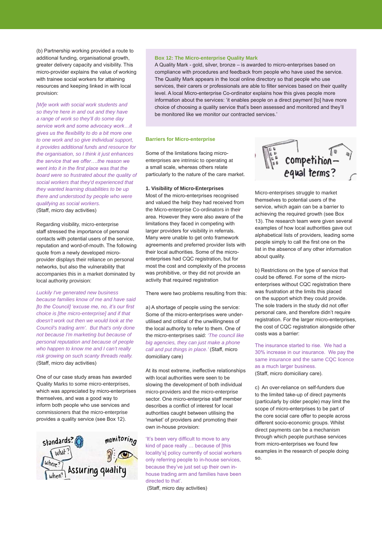(b) Partnership working provided a route to additional funding, organisational growth, greater delivery capacity and visibility. This micro-provider explains the value of working with trainee social workers for attaining resources and keeping linked in with local provision:

*[W]e work with social work students and so they're here in and out and they have a range of work so they'll do some day service work and some advocacy work…it gives us the flexibility to do a bit more one to one work and so give individual support, it provides additional funds and resource for the organisation, so I think it just enhances the service that we offer….the reason we went into it in the first place was that the board were so frustrated about the quality of social workers that they'd experienced that they wanted learning disabilities to be up there and understood by people who were qualifying as social workers.*  (Staff, micro day activities)

Regarding visibility, micro-enterprise staff stressed the importance of personal contacts with potential users of the service, reputation and word-of-mouth. The following quote from a newly developed microprovider displays their reliance on personal networks, but also the vulnerability that accompanies this in a market dominated by local authority provision:

*Luckily I've generated new business because families know of me and have said [to the Council] 'excuse me, no, it's our first choice is [the micro-enterprise] and if that doesn't work out then we would look at the Council's trading arm'. But that's only done not because I'm marketing but because of personal reputation and because of people who happen to know me and I can't really risk growing on such scanty threads really.*  (Staff, micro day activities)

One of our case study areas has awarded Quality Marks to some micro-enterprises, which was appreciated by micro-enterprises themselves, and was a good way to inform both people who use services and commissioners that the micro-enterprise provides a quality service (see Box 12).



#### **Box 12: The Micro-enterprise Quality Mark**

A Quality Mark - gold, silver, bronze – is awarded to micro-enterprises based on compliance with procedures and feedback from people who have used the service. The Quality Mark appears in the local online directory so that people who use services, their carers or professionals are able to filter services based on their quality level. A local Micro-enterprise Co-ordinator explains how this gives people more information about the services: 'it enables people on a direct payment [to] have more choice of choosing a quality service that's been assessed and monitored and they'll be monitored like we monitor our contracted services.'

#### **Barriers for Micro-enterprise**

Some of the limitations facing microenterprises are intrinsic to operating at a small scale, whereas others relate particularly to the nature of the care market.

#### **1. Visibility of Micro-Enterprises**

Most of the micro-enterprises recognised and valued the help they had received from the Micro-enterprise Co-ordinators in their area. However they were also aware of the limitations they faced in competing with larger providers for visibility in referrals. Many were unable to get onto framework agreements and preferred provider lists with their local authorities. Some of the microenterprises had CQC registration, but for most the cost and complexity of the process was prohibitive, or they did not provide an activity that required registration

There were two problems resulting from this:

a) A shortage of people using the service: Some of the micro-enterprises were underutilised and critical of the unwillingness of the local authority to refer to them. One of the micro-enterprises said: *'The council like big agencies, they can just make a phone call and put things in place.'* (Staff, micro domiciliary care)

At its most extreme, ineffective relationships with local authorities were seen to be slowing the development of both individual micro-providers and the micro-enterprise sector. One micro-enterprise staff member describes a conflict of interest for local authorities caught between utilising the 'market' of providers and promoting their own in-house provision:

'It's been very difficult to move to any kind of pace really ... because of [this locality's] policy currently of social workers only referring people to in-house services, because they've just set up their own inhouse trading arm and families have been directed to that'.

(Staff, micro day activities)



Micro-enterprises struggle to market themselves to potential users of the service, which again can be a barrier to achieving the required growth (see Box 13). The research team were given several examples of how local authorities gave out alphabetical lists of providers, leading some people simply to call the first one on the list in the absence of any other information about quality.

b) Restrictions on the type of service that could be offered. For some of the microenterprises without CQC registration there was frustration at the limits this placed on the support which they could provide. The sole traders in the study did not offer personal care, and therefore didn't require registration. For the larger micro-enterprises, the cost of CQC registration alongside other costs was a barrier:

The insurance started to rise. We had a 30% increase in our insurance. We pay the same insurance and the same CQC licence as a much larger business. (Staff, micro domiciliary care).

c) An over-reliance on self-funders due to the limited take-up of direct payments (particularly by older people) may limit the scope of micro-enterprises to be part of the core social care offer to people across different socio-economic groups. Whilst direct payments can be a mechanism through which people purchase services from micro-enterprises we found few examples in the research of people doing so.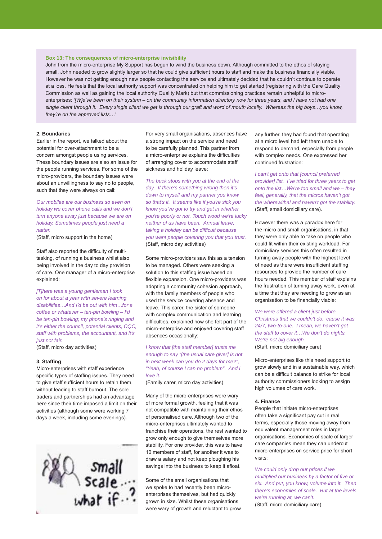#### **Box 13: The consequences of micro-enterprise invisibility**

John from the micro-enterprise My Support has begun to wind the business down. Although committed to the ethos of staying small, John needed to grow slightly larger so that he could give sufficient hours to staff and make the business financially viable. However he was not getting enough new people contacting the service and ultimately decided that he couldn't continue to operate at a loss. He feels that the local authority support was concentrated on helping him to get started (registering with the Care Quality Commission as well as gaining the local authority Quality Mark) but that commissioning practices remain unhelpful to microenterprises: *'[W]e've been on their system – on the community information directory now for three years, and I have not had one single client through it. Every single client we get is through our graft and word of mouth locally. Whereas the big boys…you know, they're on the approved lists…'* 

#### **2. Boundaries**

Earlier in the report, we talked about the potential for over-attachment to be a concern amongst people using services. These boundary issues are also an issue for the people running services. For some of the micro-providers, the boundary issues were about an unwillingness to say no to people, such that they were always on call:

*Our mobiles are our business so even on holiday we cover phone calls and we don't turn anyone away just because we are on holiday. Sometimes people just need a natter.* 

(Staff, micro support in the home)

Staff also reported the difficulty of multitasking, of running a business whilst also being involved in the day to day provision of care. One manager of a micro-enterprise explained:

*[T]here was a young gentleman I took on for about a year with severe learning disabilities…And I'd be out with him…for a coffee or whatever – ten-pin bowling – I'd be ten-pin bowling; my phone's ringing and it's either the council, potential clients, CQC, staff with problems, the accountant, and it's just not fair.* 

(Staff, micro day activities)

#### **3. Staffing**

Micro-enterprises with staff experience specific types of staffing issues. They need to give staff sufficient hours to retain them, without leading to staff burnout. The sole traders and partnerships had an advantage here since their time imposed a limit on their activities (although some were working 7 days a week, including some evenings).



For very small organisations, absences have a strong impact on the service and need to be carefully planned. This partner from a micro-enterprise explains the difficulties of arranging cover to accommodate staff sickness and holiday leave:

*The buck stops with you at the end of the day. If there's something wrong then it's down to myself and my partner you know so that's it. It seems like if you're sick you know you've got to try and get in whether you're poorly or not. Touch wood we're lucky neither of us have been. Annual leave, taking a holiday can be difficult because you want people covering you that you trust.*  (Staff, micro day activities)

Some micro-providers saw this as a tension to be managed. Others were seeking a solution to this staffing issue based on flexible expansion. One micro-providers was adopting a community cohesion approach, with the family members of people who used the service covering absence and leave. This carer, the sister of someone with complex communication and learning difficulties, explained how she felt part of the micro-enterprise and enjoyed covering staff absences occasionally:

*I know that [the staff member] trusts me enough to say "[the usual care giver] is not in next week can you do 2 days for me?", "Yeah, of course I can no problem". And I love it.* 

(Family carer, micro day activities)

Many of the micro-enterprises were wary of more formal growth, feeling that it was not compatible with maintaining their ethos of personalised care. Although two of the micro-enterprises ultimately wanted to franchise their operations, the rest wanted to grow only enough to give themselves more stability. For one provider, this was to have 10 members of staff, for another it was to draw a salary and not keep ploughing his savings into the business to keep it afloat.

Some of the small organisations that we spoke to had recently been microenterprises themselves, but had quickly grown in size. Whilst these organisations were wary of growth and reluctant to grow any further, they had found that operating at a micro level had left them unable to respond to demand, especially from people with complex needs. One expressed her continued frustration:

*I can't get onto that [council preferred provider] list. I've tried for three years to get onto the list…We're too small and we – they feel, generally, that the micros haven't got the wherewithal and haven't got the stability.*  (Staff, small domiciliary care).

However there was a paradox here for the micro and small organisations, in that they were only able to take on people who could fit within their existing workload. For domiciliary services this often resulted in turning away people with the highest level of need as there were insufficient staffing resources to provide the number of care hours needed. This member of staff explains the frustration of turning away work, even at a time that they are needing to grow as an organisation to be financially viable:

*We were offered a client just before Christmas that we couldn't do, 'cause it was 24/7, two-to-one. I mean, we haven't got the staff to cover it…We don't do nights. We're not big enough.*  (Staff, micro domiciliary care)

Micro-enterprises like this need support to grow slowly and in a sustainable way, which can be a difficult balance to strike for local authority commissioners looking to assign high volumes of care work.

#### **4. Finance**

People that initiate micro-enterprises often take a significant pay cut in real terms, especially those moving away from equivalent management roles in larger organisations. Economies of scale of larger care companies mean they can undercut micro-enterprises on service price for short visits:

*We could only drop our prices if we multiplied our business by a factor of five or six. And put, you know, volume into it. Then there's economies of scale. But at the levels we're running at, we can't.*  (Staff, micro domiciliary care)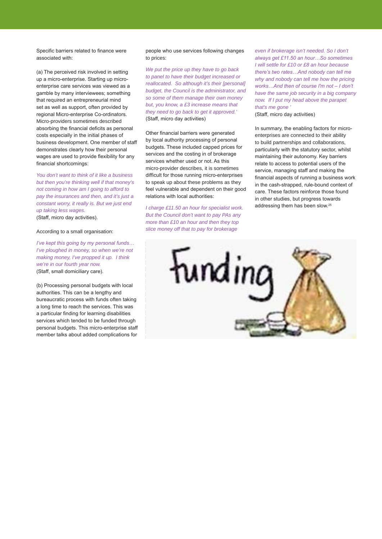Specific barriers related to finance were associated with:

(a) The perceived risk involved in setting up a micro-enterprise. Starting up microenterprise care services was viewed as a gamble by many interviewees; something that required an entrepreneurial mind set as well as support, often provided by regional Micro-enterprise Co-ordinators. Micro-providers sometimes described absorbing the financial deficits as personal costs especially in the initial phases of business development. One member of staff demonstrates clearly how their personal wages are used to provide flexibility for any financial shortcomings:

*You don't want to think of it like a business but then you're thinking well if that money's not coming in how am I going to afford to pay the insurances and then, and it's just a constant worry, it really is. But we just end up taking less wages.*  (Staff, micro day activities).

According to a small organisation:

*I've kept this going by my personal funds… I've ploughed in money, so when we're not making money, I've propped it up. I think we're in our fourth year now.*  (Staff, small domiciliary care).

(b) Processing personal budgets with local authorities. This can be a lengthy and bureaucratic process with funds often taking a long time to reach the services. This was a particular finding for learning disabilities services which tended to be funded through personal budgets. This micro-enterprise staff member talks about added complications for

people who use services following changes to prices:

*We put the price up they have to go back to panel to have their budget increased or reallocated. So although it's their [personal] budget, the Council is the administrator, and so some of them manage their own money but, you know, a £3 increase means that they need to go back to get it approved.'* (Staff, micro day activities)

Other financial barriers were generated by local authority processing of personal budgets. These included capped prices for services and the costing in of brokerage services whether used or not. As this micro-provider describes, it is sometimes difficult for those running micro-enterprises to speak up about these problems as they feel vulnerable and dependent on their good relations with local authorities:

*I charge £11.50 an hour for specialist work. But the Council don't want to pay PAs any more than £10 an hour and then they top slice money off that to pay for brokerage* 

*even if brokerage isn't needed. So I don't always get £11.50 an hour…So sometimes I will settle for £10 or £8 an hour because there's two rates…And nobody can tell me why and nobody can tell me how the pricing works…And then of course I'm not – I don't have the same job security in a big company now. If I put my head above the parapet that's me gone '*

(Staff, micro day activities)

In summary, the enabling factors for microenterprises are connected to their ability to build partnerships and collaborations, particularly with the statutory sector, whilst maintaining their autonomy. Key barriers relate to access to potential users of the service, managing staff and making the financial aspects of running a business work in the cash-strapped, rule-bound context of care. These factors reinforce those found in other studies, but progress towards addressing them has been slow.25

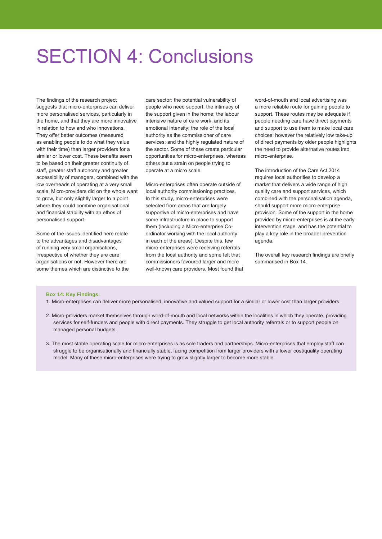### SECTION 4: Conclusions

The findings of the research project suggests that micro-enterprises can deliver more personalised services, particularly in the home, and that they are more innovative in relation to how and who innovations. They offer better outcomes (measured as enabling people to do what they value with their time) than larger providers for a similar or lower cost. These benefits seem to be based on their greater continuity of staff, greater staff autonomy and greater accessibility of managers, combined with the low overheads of operating at a very small scale. Micro-providers did on the whole want to grow, but only slightly larger to a point where they could combine organisational and financial stability with an ethos of personalised support.

Some of the issues identified here relate to the advantages and disadvantages of running very small organisations, irrespective of whether they are care organisations or not. However there are some themes which are distinctive to the care sector: the potential vulnerability of people who need support; the intimacy of the support given in the home; the labour intensive nature of care work, and its emotional intensity; the role of the local authority as the commissioner of care services; and the highly regulated nature of the sector. Some of these create particular opportunities for micro-enterprises, whereas others put a strain on people trying to operate at a micro scale.

Micro-enterprises often operate outside of local authority commissioning practices. In this study, micro-enterprises were selected from areas that are largely supportive of micro-enterprises and have some infrastructure in place to support them (including a Micro-enterprise Coordinator working with the local authority in each of the areas). Despite this, few micro-enterprises were receiving referrals from the local authority and some felt that commissioners favoured larger and more well-known care providers. Most found that word-of-mouth and local advertising was a more reliable route for gaining people to support. These routes may be adequate if people needing care have direct payments and support to use them to make local care choices; however the relatively low take-up of direct payments by older people highlights the need to provide alternative routes into micro-enterprise.

The introduction of the Care Act 2014 requires local authorities to develop a market that delivers a wide range of high quality care and support services, which combined with the personalisation agenda, should support more micro-enterprise provision. Some of the support in the home provided by micro-enterprises is at the early intervention stage, and has the potential to play a key role in the broader prevention agenda.

The overall key research findings are briefly summarised in Box 14.

#### **Box 14: Key Findings:**

- 1. Micro-enterprises can deliver more personalised, innovative and valued support for a similar or lower cost than larger providers.
- 2. Micro-providers market themselves through word-of-mouth and local networks within the localities in which they operate, providing services for self-funders and people with direct payments. They struggle to get local authority referrals or to support people on managed personal budgets.
- 3. The most stable operating scale for micro-enterprises is as sole traders and partnerships. Micro-enterprises that employ staff can struggle to be organisationally and financially stable, facing competition from larger providers with a lower cost/quality operating model. Many of these micro-enterprises were trying to grow slightly larger to become more stable.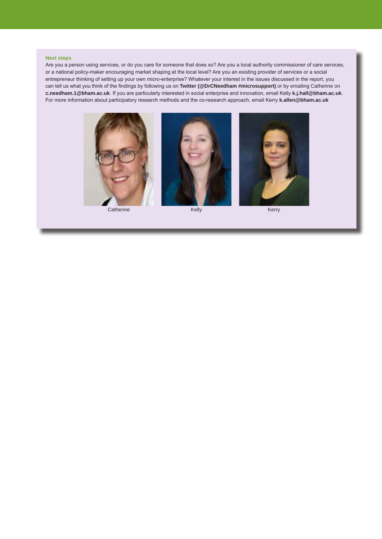#### **Next steps**

Are you a person using services, or do you care for someone that does so? Are you a local authority commissioner of care services, or a national policy-maker encouraging market shaping at the local level? Are you an existing provider of services or a social entrepreneur thinking of setting up your own micro-enterprise? Whatever your interest in the issues discussed in the report, you can tell us what you think of the findings by following us on **Twitter (@DrCNeedham #microsupport)** or by emailing Catherine on **c.needham.1@bham.ac.uk**. If you are particularly interested in social enterprise and innovation, email Kelly **k.j.hall@bham.ac.uk**. For more information about participatory research methods and the co-research approach, email Kerry **k.allen@bham.ac.uk**



Catherine **Kelly** Kelly **Kelly** Kerry



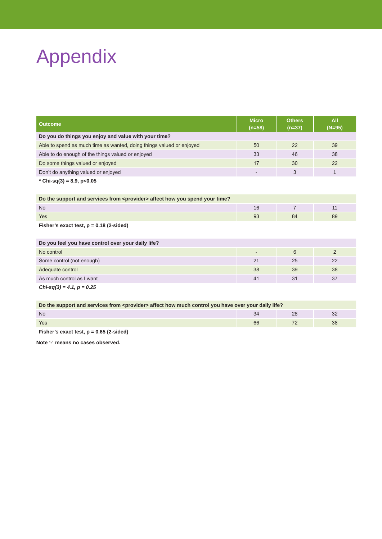# Appendix

| Outcome                                                                                | <b>Micro</b><br>$(n=58)$ | <b>Others</b><br>$(n=37)$ | All<br>$(N=95)$ |  |  |
|----------------------------------------------------------------------------------------|--------------------------|---------------------------|-----------------|--|--|
| Do you do things you enjoy and value with your time?                                   |                          |                           |                 |  |  |
| Able to spend as much time as wanted, doing things valued or enjoyed                   | 50                       | 22                        | 39              |  |  |
| Able to do enough of the things valued or enjoyed                                      | 33                       | 46                        | 38              |  |  |
| Do some things valued or enjoyed                                                       | 17                       | 30                        | 22              |  |  |
| Don't do anything valued or enjoyed                                                    |                          | 3                         | 1               |  |  |
| * Chi-sq(3) = 8.9, p<0.05                                                              |                          |                           |                 |  |  |
| Do the support and services from <provider> affect how you spend your time?</provider> |                          |                           |                 |  |  |
| <b>No</b>                                                                              | 16                       | $\overline{7}$            | 11              |  |  |
| <b>Yes</b>                                                                             | 93                       | 84                        | 89              |  |  |
| Fisher's exact test, $p = 0.18$ (2-sided)                                              |                          |                           |                 |  |  |
| Do you feel you have control over your daily life?                                     |                          |                           |                 |  |  |
| No control                                                                             | ٠                        | 6                         | 2               |  |  |
| Some control (not enough)                                                              | 21                       | 25                        | 22              |  |  |
| Adequate control                                                                       | 38                       | 39                        | 38              |  |  |
| As much control as I want                                                              | 41                       | 31                        | 37              |  |  |
| $Chi-sq(3) = 4.1, p = 0.25$                                                            |                          |                           |                 |  |  |

| Do the support and services from <provider> affect how much control you have over your daily life?</provider> |    |  |  |  |  |  |  |
|---------------------------------------------------------------------------------------------------------------|----|--|--|--|--|--|--|
| N <sub>o</sub>                                                                                                |    |  |  |  |  |  |  |
| Yes                                                                                                           | 66 |  |  |  |  |  |  |

**Fisher's exact test, p = 0.65 (2-sided)**

**Note '-' means no cases observed.**